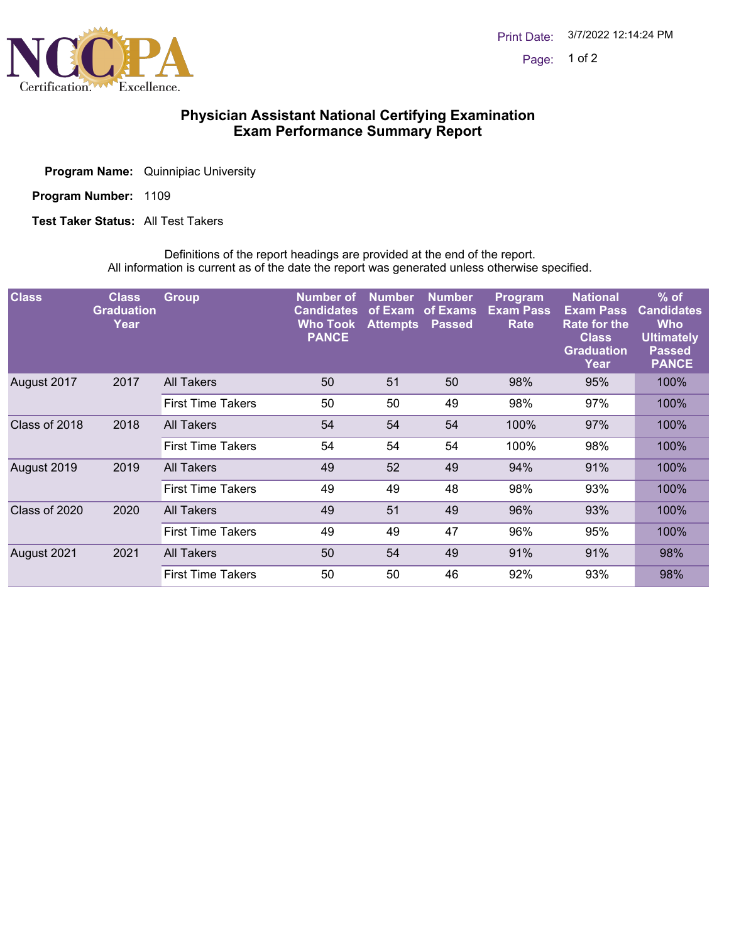

## **Physician Assistant National Certifying Examination Exam Performance Summary Report**

**Program Name:** Quinnipiac University

Program Number: 1109

**Test Taker Status:** All Test Takers

Definitions of the report headings are provided at the end of the report. All information is current as of the date the report was generated unless otherwise specified.

| <b>Class</b>  | <b>Class</b><br><b>Graduation</b><br>Year | <b>Group</b>             | Number of<br><b>Candidates</b><br><b>Who Took</b><br><b>PANCE</b> | <b>Number</b><br>of Exam<br><b>Attempts</b> | <b>Number</b><br>of Exams<br><b>Passed</b> | <b>Program</b><br><b>Exam Pass</b><br>Rate | <b>National</b><br><b>Exam Pass</b><br><b>Rate for the</b><br><b>Class</b><br><b>Graduation</b><br>Year | $%$ of<br><b>Candidates</b><br><b>Who</b><br><b>Ultimately</b><br><b>Passed</b><br><b>PANCE</b> |
|---------------|-------------------------------------------|--------------------------|-------------------------------------------------------------------|---------------------------------------------|--------------------------------------------|--------------------------------------------|---------------------------------------------------------------------------------------------------------|-------------------------------------------------------------------------------------------------|
| August 2017   | 2017                                      | <b>All Takers</b>        | 50                                                                | 51                                          | 50                                         | 98%                                        | 95%                                                                                                     | 100%                                                                                            |
|               |                                           | <b>First Time Takers</b> | 50                                                                | 50                                          | 49                                         | 98%                                        | 97%                                                                                                     | 100%                                                                                            |
| Class of 2018 | 2018                                      | <b>All Takers</b>        | 54                                                                | 54                                          | 54                                         | 100%                                       | 97%                                                                                                     | 100%                                                                                            |
|               |                                           | <b>First Time Takers</b> | 54                                                                | 54                                          | 54                                         | 100%                                       | 98%                                                                                                     | 100%                                                                                            |
| August 2019   | 2019                                      | All Takers               | 49                                                                | 52                                          | 49                                         | 94%                                        | 91%                                                                                                     | 100%                                                                                            |
|               |                                           | <b>First Time Takers</b> | 49                                                                | 49                                          | 48                                         | 98%                                        | 93%                                                                                                     | 100%                                                                                            |
| Class of 2020 | 2020                                      | <b>All Takers</b>        | 49                                                                | 51                                          | 49                                         | 96%                                        | 93%                                                                                                     | 100%                                                                                            |
|               |                                           | <b>First Time Takers</b> | 49                                                                | 49                                          | 47                                         | 96%                                        | 95%                                                                                                     | 100%                                                                                            |
| August 2021   | 2021                                      | <b>All Takers</b>        | 50                                                                | 54                                          | 49                                         | 91%                                        | 91%                                                                                                     | 98%                                                                                             |
|               |                                           | <b>First Time Takers</b> | 50                                                                | 50                                          | 46                                         | 92%                                        | 93%                                                                                                     | 98%                                                                                             |